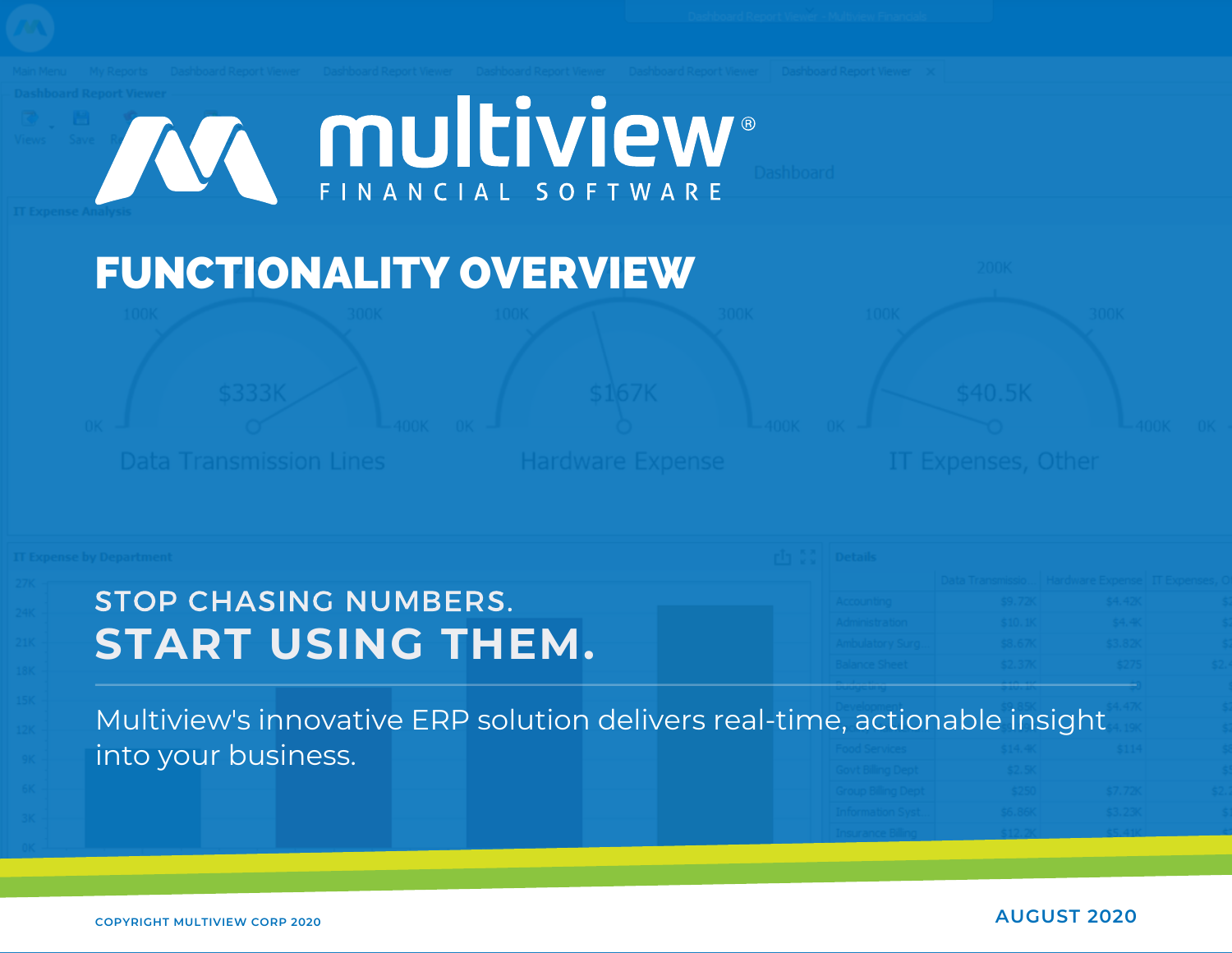

| STOP CHASING NUMBERS.                                                      |  |  |  |
|----------------------------------------------------------------------------|--|--|--|
| <b>START USING THEM.</b>                                                   |  |  |  |
|                                                                            |  |  |  |
|                                                                            |  |  |  |
|                                                                            |  |  |  |
| Multiview's innovative ERP solution delivers real-time, actionable insight |  |  |  |
| into your business.                                                        |  |  |  |
|                                                                            |  |  |  |
|                                                                            |  |  |  |
|                                                                            |  |  |  |
|                                                                            |  |  |  |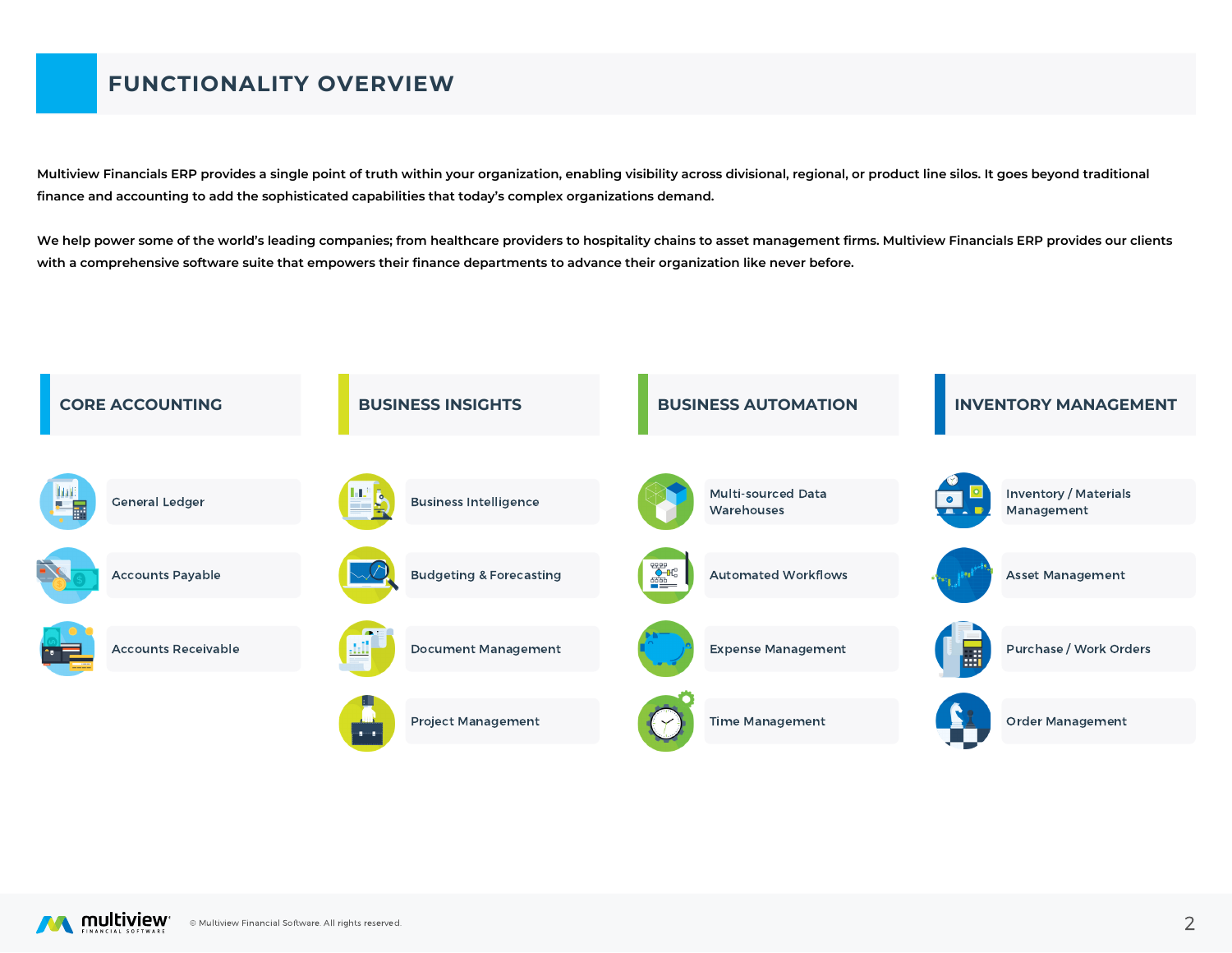# **FUNCTIONALITY OVERVIEW**

Multiview Financials ERP provides a single point of truth within your organization, enabling visibility across divisional, regional, or product line silos. It goes beyond traditional **finance and accounting to add the sophisticated capabilities that today's complex organizations demand.**

We help power some of the world's leading companies; from healthcare providers to hospitality chains to asset management firms. Multiview Financials ERP provides our clients with a comprehensive software suite that empowers their finance departments to advance their organization like never before.



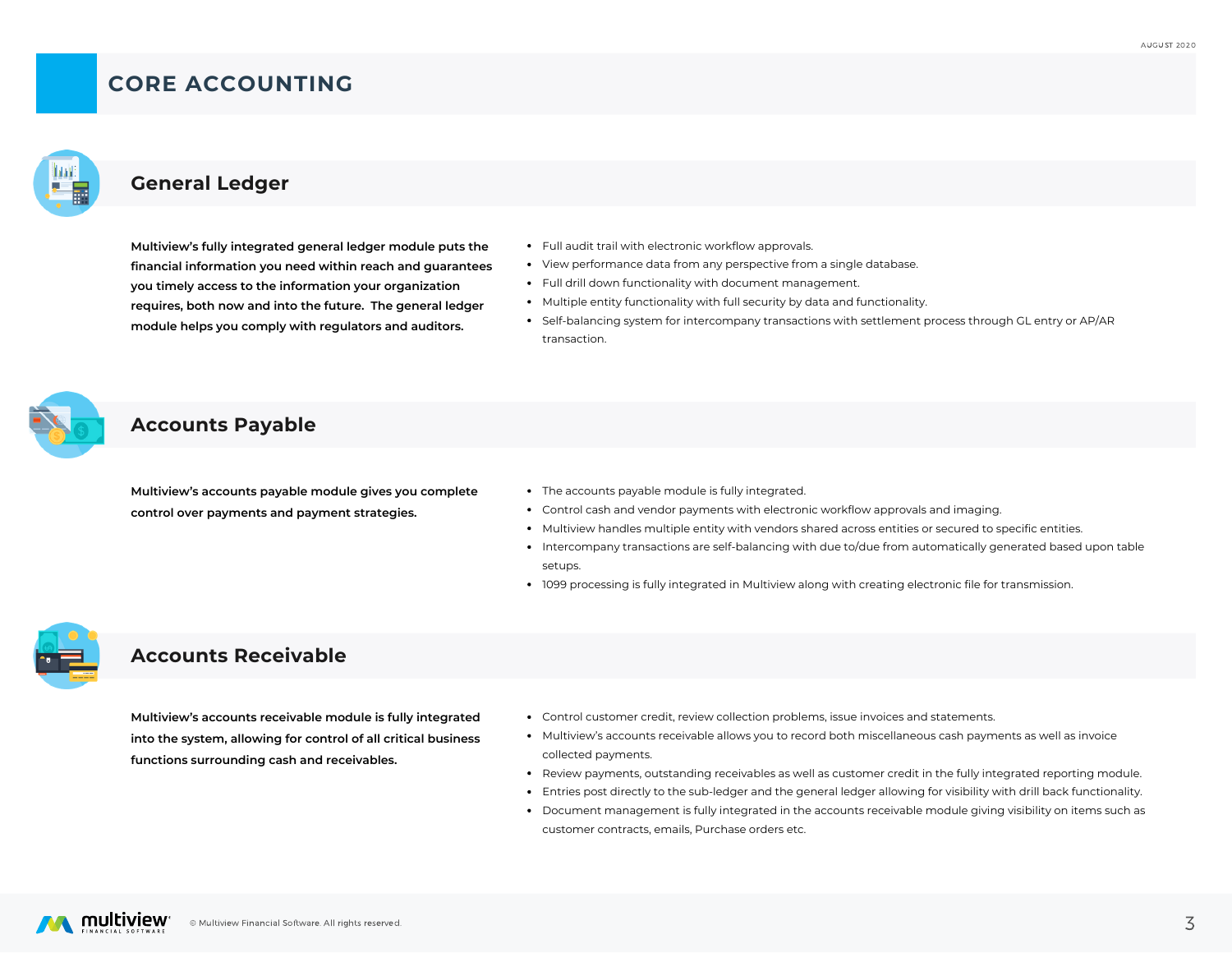## **CORE ACCOUNTING**



### **General Ledger**

**Multiview's fully integrated general ledger module puts the financial information you need within reach and guarantees you timely access to the information your organization requires, both now and into the future. The general ledger module helps you comply with regulators and auditors.**

- Full audit trail with electronic workflow approvals.
- View performance data from any perspective from a single database.
- Full drill down functionality with document management.
- Multiple entity functionality with full security by data and functionality.
- Self-balancing system for intercompany transactions with settlement process through GL entry or AP/AR transaction.

#### **Accounts Payable**

**Multiview's accounts payable module gives you complete control over payments and payment strategies.**

- The accounts payable module is fully integrated.
- Control cash and vendor payments with electronic workflow approvals and imaging.
- Multiview handles multiple entity with vendors shared across entities or secured to specific entities.
- Intercompany transactions are self-balancing with due to/due from automatically generated based upon table setups.
- 1099 processing is fully integrated in Multiview along with creating electronic file for transmission.



### **Accounts Receivable**

**Multiview's accounts receivable module is fully integrated into the system, allowing for control of all critical business functions surrounding cash and receivables.**

- Control customer credit, review collection problems, issue invoices and statements.
- Multiview's accounts receivable allows you to record both miscellaneous cash payments as well as invoice collected payments.
- Review payments, outstanding receivables as well as customer credit in the fully integrated reporting module.
- Entries post directly to the sub-ledger and the general ledger allowing for visibility with drill back functionality.
- Document management is fully integrated in the accounts receivable module giving visibility on items such as customer contracts, emails, Purchase orders etc.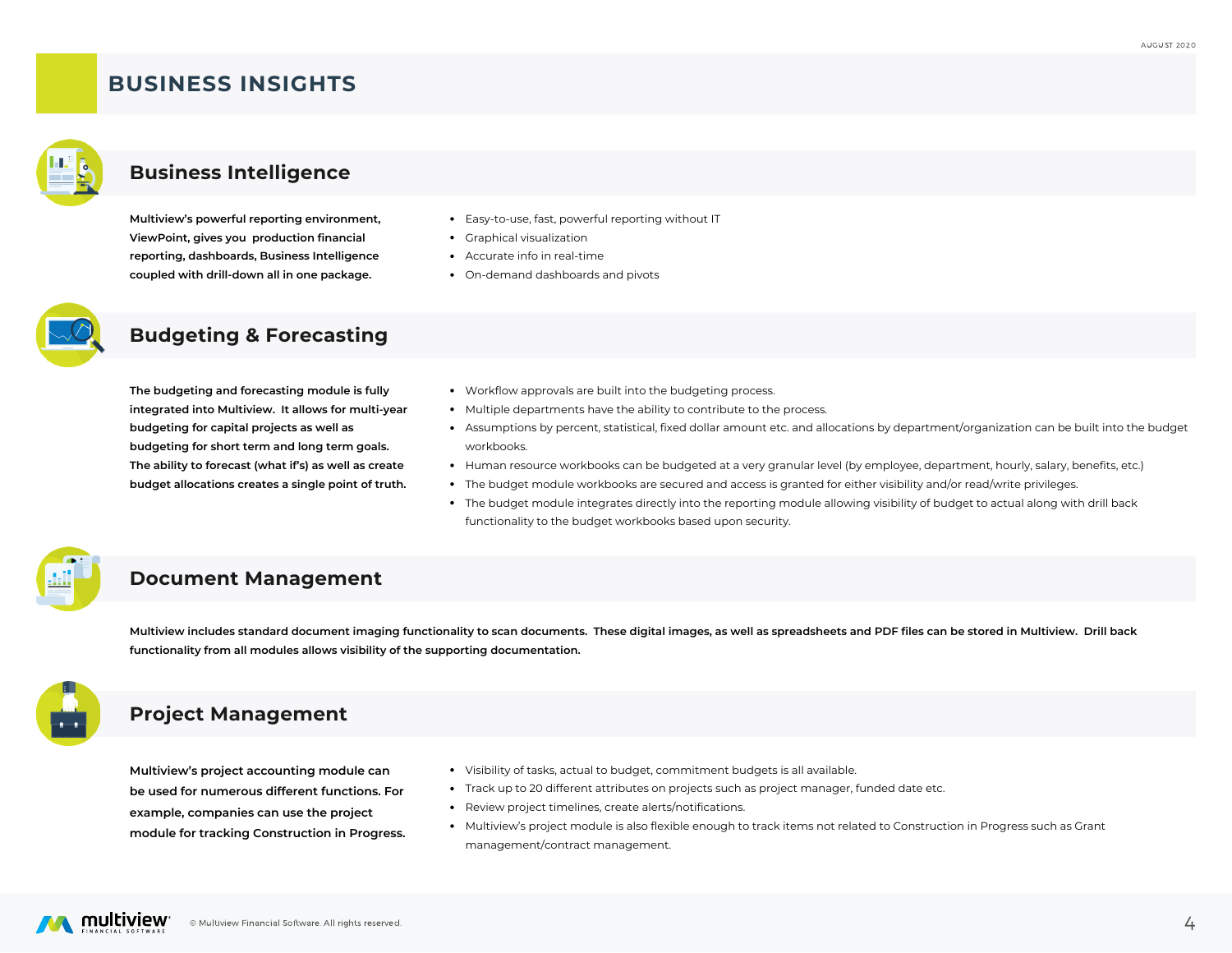## **BUSINESS INSIGHTS**



#### **Business Intelligence**

**Multiview's powerful reporting environment, ViewPoint, gives you production financial reporting, dashboards, Business Intelligence coupled with drill-down all in one package.**

- Easy-to-use, fast, powerful reporting without IT
- Graphical visualization
- Accurate info in real-time
- On-demand dashboards and pivots



### **Budgeting & Forecasting**

**The budgeting and forecasting module is fully integrated into Multiview. It allows for multi-year budgeting for capital projects as well as budgeting for short term and long term goals. The ability to forecast (what if's) as well as create budget allocations creates a single point of truth.**

- Workflow approvals are built into the budgeting process.
- Multiple departments have the ability to contribute to the process.
- Assumptions by percent, statistical, fixed dollar amount etc. and allocations by department/organization can be built into the budget workbooks.
- Human resource workbooks can be budgeted at a very granular level (by employee, department, hourly, salary, benefits, etc.)
- The budget module workbooks are secured and access is granted for either visibility and/or read/write privileges.
- The budget module integrates directly into the reporting module allowing visibility of budget to actual along with drill back functionality to the budget workbooks based upon security.

#### **Document Management**

Multiview includes standard document imaging functionality to scan documents. These digital images, as well as spreadsheets and PDF files can be stored in Multiview. Drill back **functionality from all modules allows visibility of the supporting documentation.**



### **Project Management**

**Multiview's project accounting module can be used for numerous different functions. For example, companies can use the project module for tracking Construction in Progress.**

- Visibility of tasks, actual to budget, commitment budgets is all available.
- Track up to 20 different attributes on projects such as project manager, funded date etc.
- Review project timelines, create alerts/notifications.
- Multiview's project module is also flexible enough to track items not related to Construction in Progress such as Grant management/contract management.

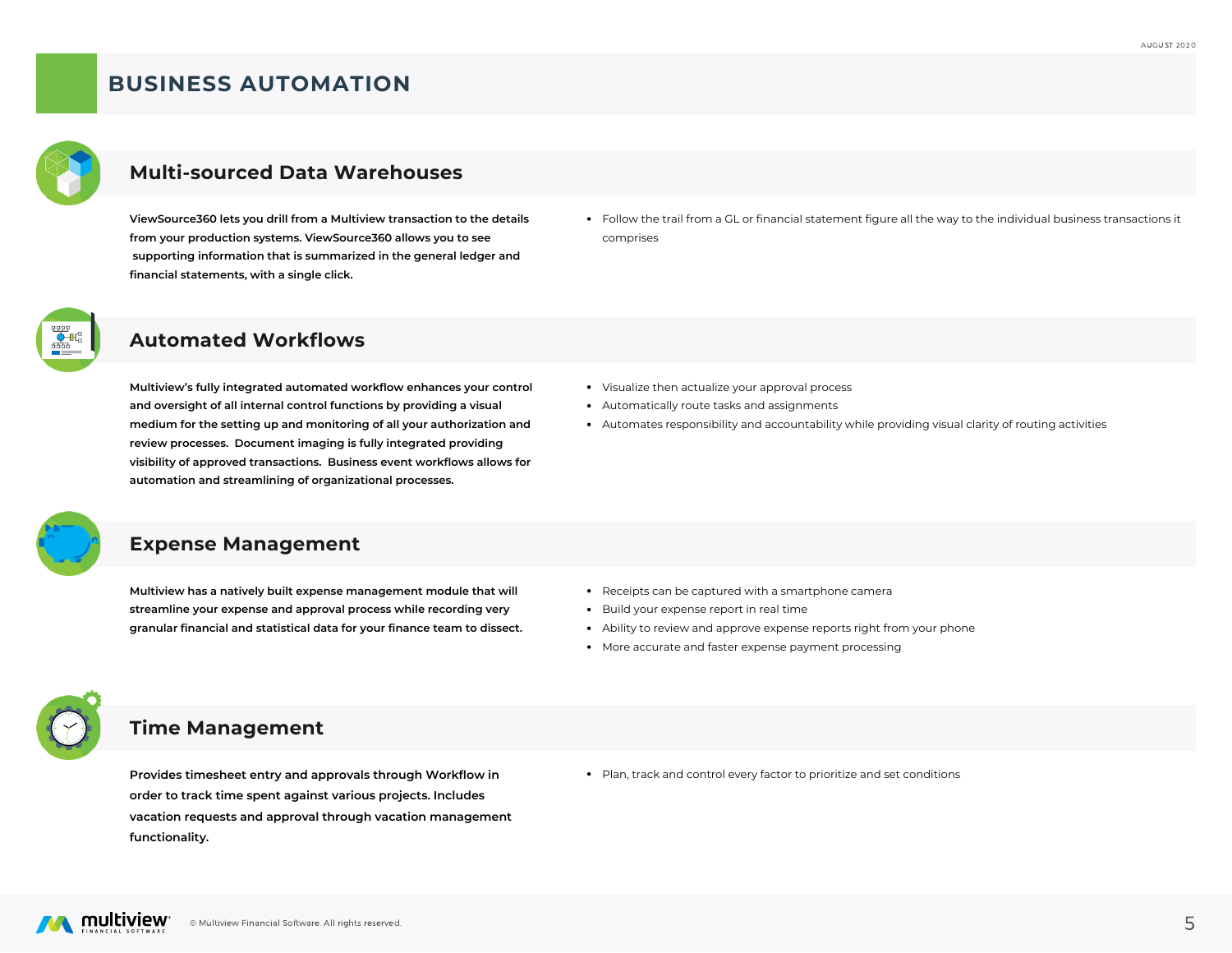## **BUSINESS AUTOMATION**



## **Multi-sourced Data Warehouses**

**ViewSource360 lets you drill from a Multiview transaction to the details from your production systems. ViewSource360 allows you to see supporting information that is summarized in the general ledger and financial statements, with a single click.**

Follow the trail from a GL or financial statement figure all the way to the individual business transactions it comprises



#### **Automated Workflows**

**Multiview's fully integrated automated workflow enhances your control and oversight of all internal control functions by providing a visual medium for the setting up and monitoring of all your authorization and review processes. Document imaging is fully integrated providing visibility of approved transactions. Business event workflows allows for automation and streamlining of organizational processes.**

- Visualize then actualize your approval process
- Automatically route tasks and assignments
- Automates responsibility and accountability while providing visual clarity of routing activities



#### **Expense Management**

**Multiview has a natively built expense management module that will streamline your expense and approval process while recording very granular financial and statistical data for your finance team to dissect.**

- Receipts can be captured with a smartphone camera
- Build your expense report in real time
- Ability to review and approve expense reports right from your phone
- More accurate and faster expense payment processing



### **Time Management**

**Provides timesheet entry and approvals through Workflow in order to track time spent against various projects. Includes vacation requests and approval through vacation management functionality.**

Plan, track and control every factor to prioritize and set conditions